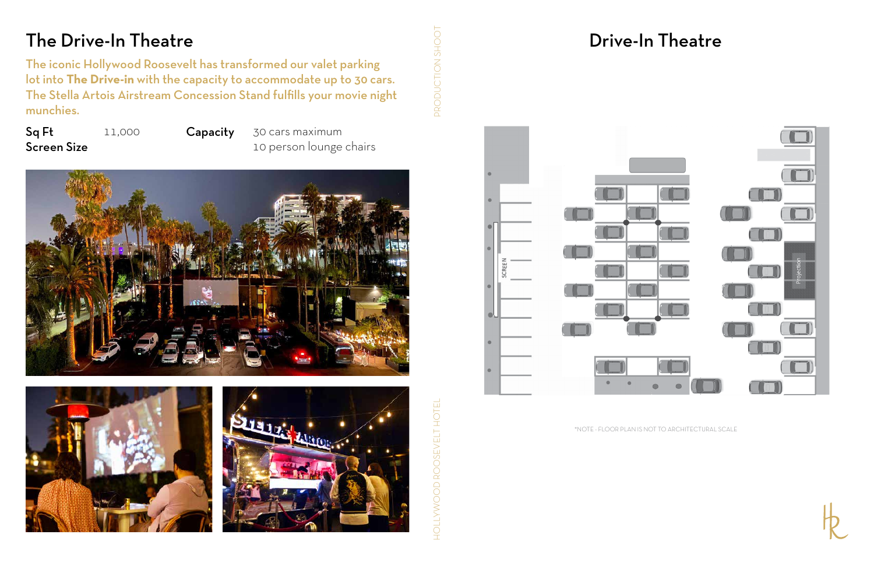### The Drive-In Theatre

The iconic Hollywood Roosevelt has transformed our valet parking lot into **The Drive-in** with the capacity to accommodate up to 30 cars. The Stella Artois Airstream Concession Stand fulfills your movie night munchies.

HOLLYWOOD ROOSEVELT HOTEL PRODUCTION SHOOT HOLLYWOOD ROOSEVELT HOTE

PRODUCTION SHOO

Capacity 30 cars maximum 10 person lounge chairs







Sq Ft Screen Size 11,000

# Drive-In Theatre





\*NOTE - FLOOR PLAN IS NOT TO ARCHITECTURAL SCALE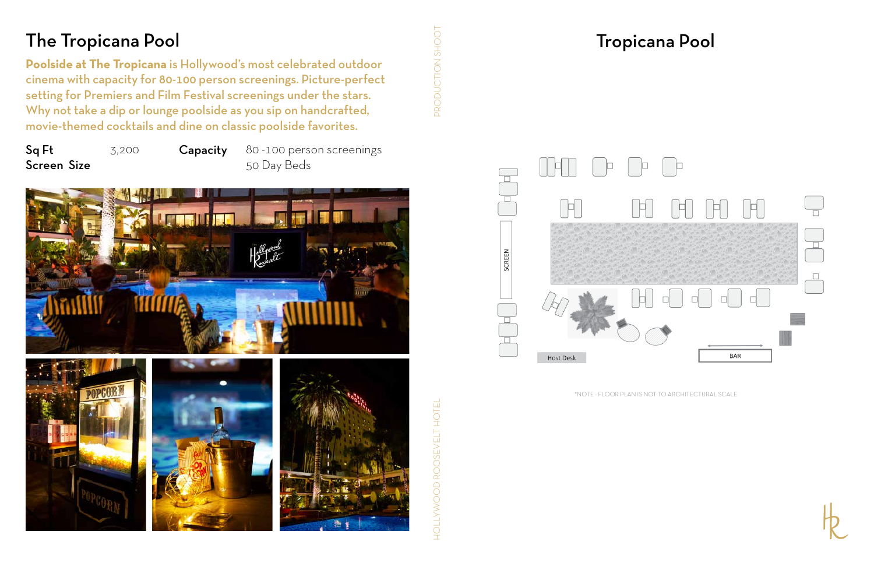### Tropicana Pool

HOLLYWOOD ROOSEVELT HOTEL PRODUCTION SHOOT HOLLYWOOD ROOSEVELT HOTE



DRODUCTION SHOOT



\*NOTE - FLOOR PLAN IS NOT TO ARCHITECTURAL SCALE

### The Tropicana Pool

**Poolside at The Tropicana** is Hollywood's most celebrated outdoor cinema with capacity for 80-100 person screenings. Picture-perfect setting for Premiers and Film Festival screenings under the stars. Why not take a dip or lounge poolside as you sip on handcrafted, movie-themed cocktails and dine on classic poolside favorites.

Sq Ft Screen Size

3,200 Capacity 80 -100 person screenings 50 Day Beds



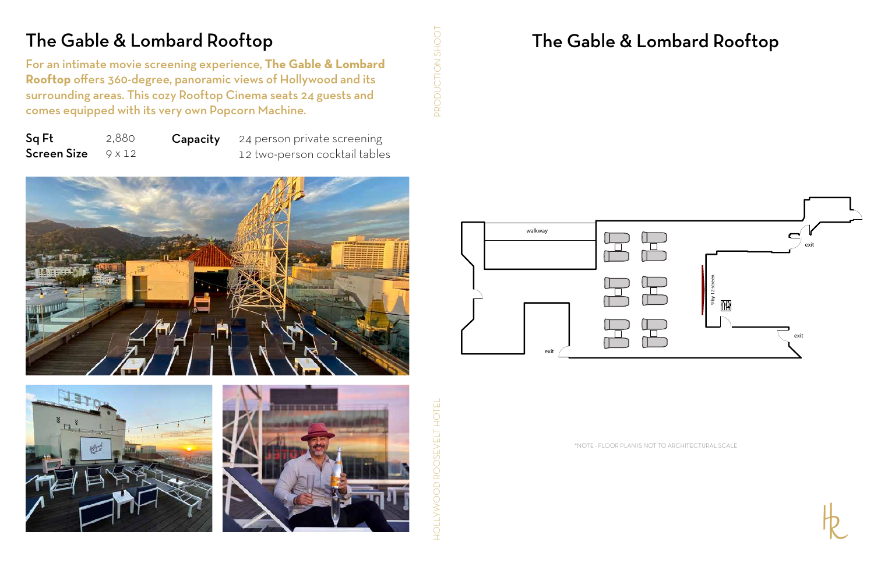## The Gable & Lombard Rooftop

\*NOTE - FLOOR PLAN IS NOT TO ARCHITECTURAL SCALE



## The Gable & Lombard Rooftop

**Capacity** 24 person private screening 12 two-person cocktail tables





HOLLYWOOD ROOSEVELT HOTE

PRODUCTION SHOO

For an intimate movie screening experience, **The Gable & Lombard Rooftop** offers 360-degree, panoramic views of Hollywood and its surrounding areas. This cozy Rooftop Cinema seats 24 guests and comes equipped with its very own Popcorn Machine.



Sq Ft Screen Size 2,880 9 x 12